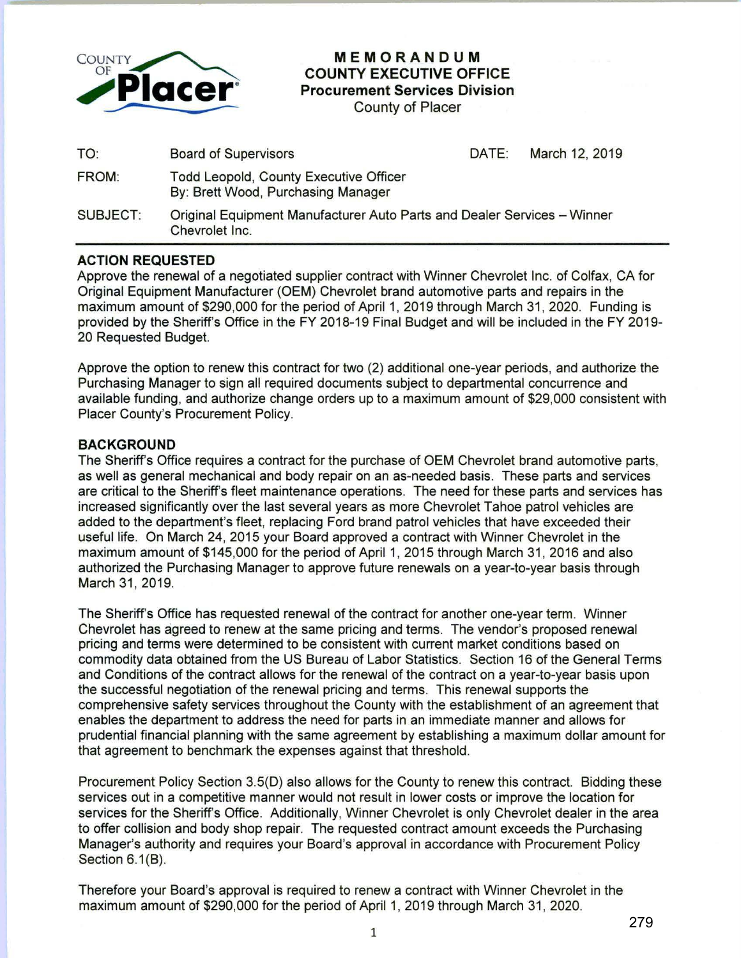

**MEMORANDUM COUNTY EXECUTIVE OFFICE Procurement Services Division** 

County of Placer

| TO:             | <b>Board of Supervisors</b>                                                               | DATE: | March 12, 2019 |
|-----------------|-------------------------------------------------------------------------------------------|-------|----------------|
| FROM:           | <b>Todd Leopold, County Executive Officer</b><br>By: Brett Wood, Purchasing Manager       |       |                |
| <b>SUBJECT:</b> | Original Equipment Manufacturer Auto Parts and Dealer Services - Winner<br>Chevrolet Inc. |       |                |

## **ACTION REQUESTED**

Approve the renewal of a negotiated supplier contract with Winner Chevrolet Inc. of Colfax, CA for Original Equipment Manufacturer (OEM) Chevrolet brand automotive parts and repairs in the maximum amount of \$290,000 for the period of April 1, 2019 through March 31, 2020. Funding is provided by the Sheriff's Office in the FY 2018-19 Final Budget and will be included in the FY 2019- 20 Requested Budget.

Approve the option to renew this contract for two (2) additional one-year periods, and authorize the Purchasing Manager to sign all required documents subject to departmental concurrence and available funding, and authorize change orders up to a maximum amount of \$29,000 consistent with Placer County's Procurement Policy.

## **BACKGROUND**

The Sheriff's Office requires a contract for the purchase of OEM Chevrolet brand automotive parts, as well as general mechanical and body repair on an as-needed basis. These parts and services are critical to the Sheriff's fleet maintenance operations. The need for these parts and services has increased significantly over the last several years as more Chevrolet Tahoe patrol vehicles are added to the department's fleet, replacing Ford brand patrol vehicles that have exceeded their useful life. On March 24, 2015 your Board approved a contract with Winner Chevrolet in the maximum amount of \$145,000 for the period of April 1, 2015 through March 31 , 2016 and also authorized the Purchasing Manager to approve future renewals on a year-to-year basis through March 31, 2019.

The Sheriff's Office has requested renewal of the contract for another one-year term. Winner Chevrolet has agreed to renew at the same pricing and terms. The vendor's proposed renewal pricing and terms were determined to be consistent with current market conditions based on commodity data obtained from the US Bureau of Labor Statistics. Section 16 of the General Terms and Conditions of the contract allows for the renewal of the contract on a year-to-year basis upon the successful negotiation of the renewal pricing and terms. This renewal supports the comprehensive safety services throughout the County with the establishment of an agreement that enables the department to address the need for parts in an immediate manner and allows for prudential financial planning with the same agreement by establishing a maximum dollar amount for that agreement to benchmark the expenses against that threshold.

Procurement Policy Section 3.5(D) also allows for the County to renew this contract. Bidding these services out in a competitive manner would not result in lower costs or improve the location for services for the Sheriff's Office. Additionally, Winner Chevrolet is only Chevrolet dealer in the area to offer collision and body shop repair. The requested contract amount exceeds the Purchasing Manager's authority and requires your Board's approval in accordance with Procurement Policy Section 6.1(B).

Therefore your Board's approval is required to renew a contract with Winner Chevrolet in the maximum amount of \$290,000 for the period of April 1, 2019 through March 31, 2020.